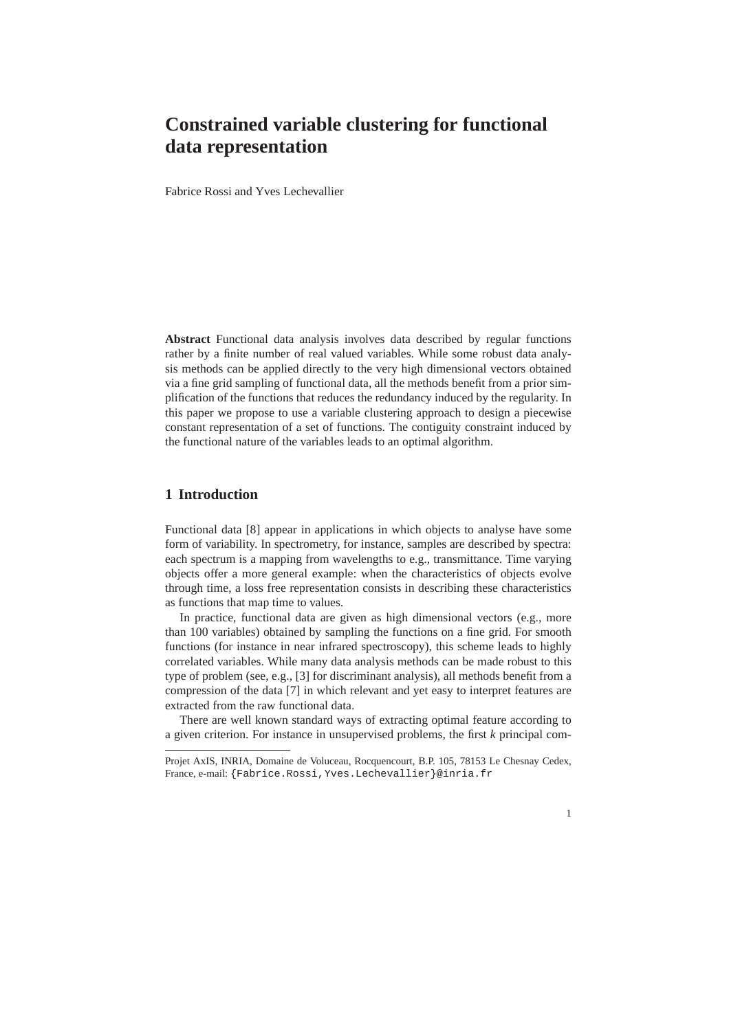# **Constrained variable clustering for functional data representation**

Fabrice Rossi and Yves Lechevallier

**Abstract** Functional data analysis involves data described by regular functions rather by a finite number of real valued variables. While some robust data analysis methods can be applied directly to the very high dimensional vectors obtained via a fine grid sampling of functional data, all the methods benefit from a prior simplification of the functions that reduces the redundancy induced by the regularity. In this paper we propose to use a variable clustering approach to design a piecewise constant representation of a set of functions. The contiguity constraint induced by the functional nature of the variables leads to an optimal algorithm.

## **1 Introduction**

Functional data [8] appear in applications in which objects to analyse have some form of variability. In spectrometry, for instance, samples are described by spectra: each spectrum is a mapping from wavelengths to e.g., transmittance. Time varying objects offer a more general example: when the characteristics of objects evolve through time, a loss free representation consists in describing these characteristics as functions that map time to values.

In practice, functional data are given as high dimensional vectors (e.g., more than 100 variables) obtained by sampling the functions on a fine grid. For smooth functions (for instance in near infrared spectroscopy), this scheme leads to highly correlated variables. While many data analysis methods can be made robust to this type of problem (see, e.g., [3] for discriminant analysis), all methods benefit from a compression of the data [7] in which relevant and yet easy to interpret features are extracted from the raw functional data.

There are well known standard ways of extracting optimal feature according to a given criterion. For instance in unsupervised problems, the first *k* principal com-

Projet AxIS, INRIA, Domaine de Voluceau, Rocquencourt, B.P. 105, 78153 Le Chesnay Cedex, France, e-mail: {Fabrice.Rossi,Yves.Lechevallier}@inria.fr

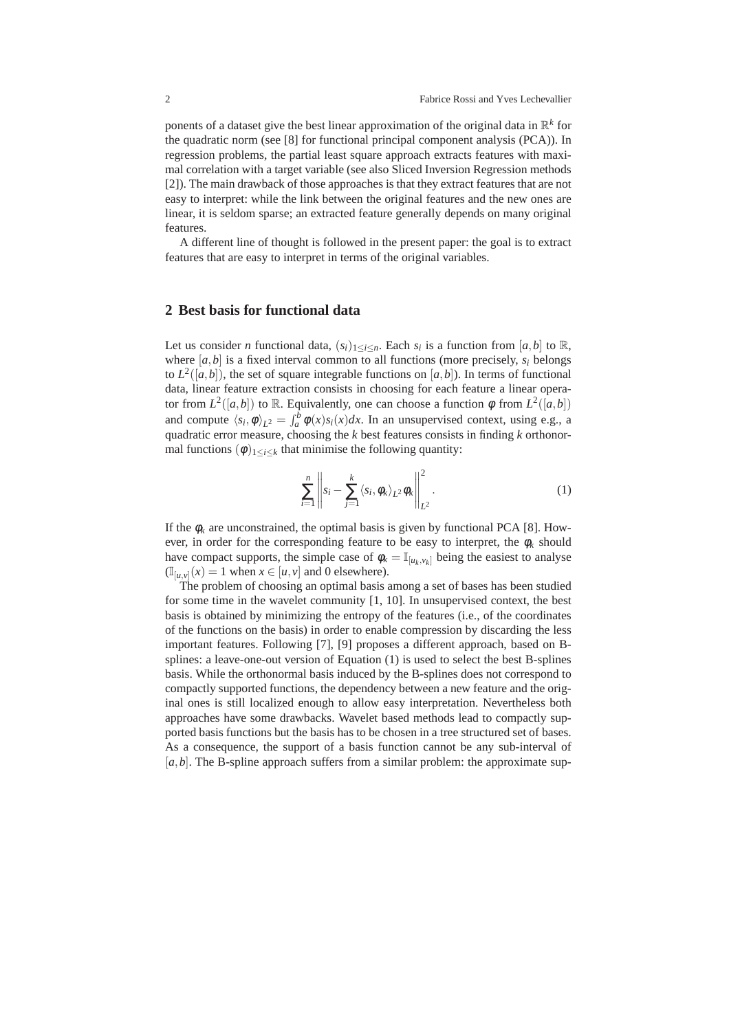ponents of a dataset give the best linear approximation of the original data in R *k* for the quadratic norm (see [8] for functional principal component analysis (PCA)). In regression problems, the partial least square approach extracts features with maximal correlation with a target variable (see also Sliced Inversion Regression methods [2]). The main drawback of those approaches is that they extract features that are not easy to interpret: while the link between the original features and the new ones are linear, it is seldom sparse; an extracted feature generally depends on many original features.

A different line of thought is followed in the present paper: the goal is to extract features that are easy to interpret in terms of the original variables.

#### **2 Best basis for functional data**

Let us consider *n* functional data,  $(s_i)_{1 \leq i \leq n}$ . Each  $s_i$  is a function from  $[a, b]$  to R, where  $[a, b]$  is a fixed interval common to all functions (more precisely,  $s_i$  belongs to  $L^2([a,b])$ , the set of square integrable functions on  $[a,b]$ ). In terms of functional data, linear feature extraction consists in choosing for each feature a linear operator from  $L^2([a,b])$  to R. Equivalently, one can choose a function  $\phi$  from  $L^2([a,b])$ and compute  $\langle s_i, \phi \rangle_{L^2} = \int_a^b \phi(x) s_i(x) dx$ . In an unsupervised context, using e.g., a quadratic error measure, choosing the *k* best features consists in finding *k* orthonormal functions  $(\phi)_{1 \leq i \leq k}$  that minimise the following quantity:

$$
\sum_{i=1}^{n} \left\| s_i - \sum_{j=1}^{k} \langle s_i, \phi_k \rangle_{L^2} \phi_k \right\|_{L^2}^2.
$$
 (1)

If the  $\phi_k$  are unconstrained, the optimal basis is given by functional PCA [8]. However, in order for the corresponding feature to be easy to interpret, the  $\phi_k$  should have compact supports, the simple case of  $\phi_k = \mathbb{I}_{[u_k, v_k]}$  being the easiest to analyse  $(\mathbb{I}_{[u,v]}(x)) = 1$  when  $x \in [u,v]$  and 0 elsewhere).

The problem of choosing an optimal basis among a set of bases has been studied for some time in the wavelet community [1, 10]. In unsupervised context, the best basis is obtained by minimizing the entropy of the features (i.e., of the coordinates of the functions on the basis) in order to enable compression by discarding the less important features. Following [7], [9] proposes a different approach, based on Bsplines: a leave-one-out version of Equation (1) is used to select the best B-splines basis. While the orthonormal basis induced by the B-splines does not correspond to compactly supported functions, the dependency between a new feature and the original ones is still localized enough to allow easy interpretation. Nevertheless both approaches have some drawbacks. Wavelet based methods lead to compactly supported basis functions but the basis has to be chosen in a tree structured set of bases. As a consequence, the support of a basis function cannot be any sub-interval of [a, b]. The B-spline approach suffers from a similar problem: the approximate sup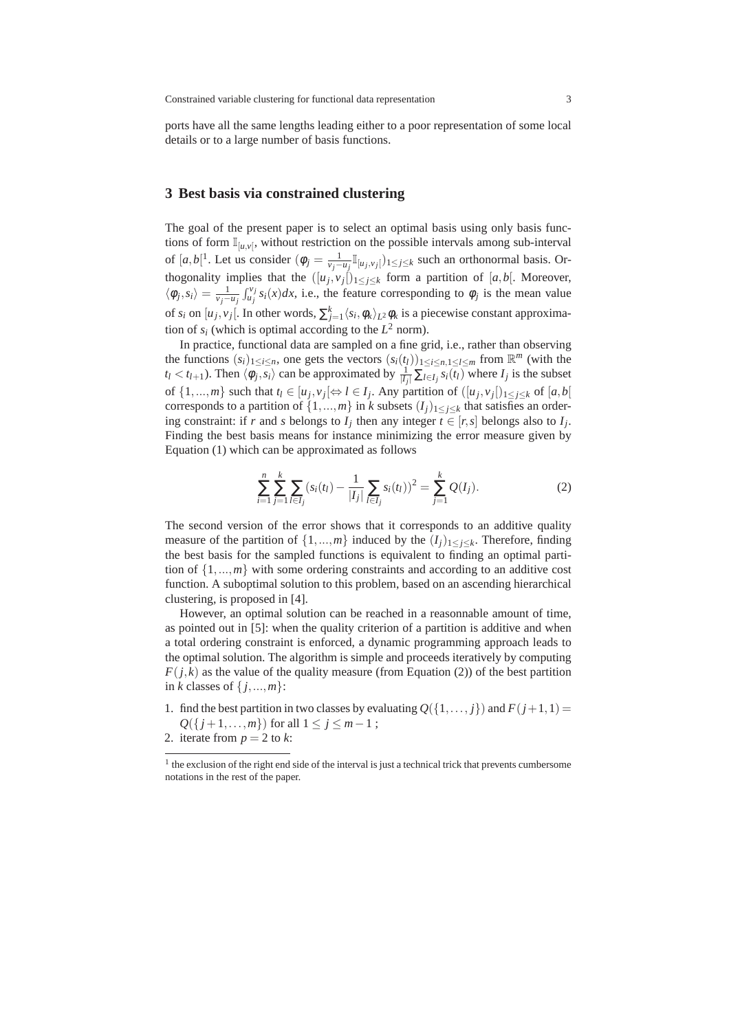ports have all the same lengths leading either to a poor representation of some local details or to a large number of basis functions.

#### **3 Best basis via constrained clustering**

The goal of the present paper is to select an optimal basis using only basis functions of form  $\mathbb{I}_{[u,v]}$ , without restriction on the possible intervals among sub-interval of  $[a,b[^1]$ . Let us consider  $(\phi_j = \frac{1}{\nu_j - u_j} \mathbb{I}_{\{u_j, v_j\}})_{1 \leq j \leq k}$  such an orthonormal basis. Orthogonality implies that the  $([u_j, v_j])_{1 \leq j \leq k}$  form a partition of [*a*,*b*[. Moreover,  $\langle \phi_j, s_i \rangle = \frac{1}{v_j - u_j} \int_{u_j}^{v_j} s_i(x) dx$ , i.e., the feature corresponding to  $\phi_j$  is the mean value of  $s_i$  on  $[u_j, v_j]$ . In other words,  $\sum_{j=1}^k \langle s_i, \phi_k \rangle_{L^2} \phi_k$  is a piecewise constant approximation of  $s_i$  (which is optimal according to the  $L^2$  norm).

In practice, functional data are sampled on a fine grid, i.e., rather than observing the functions  $(s_i)_{1 \le i \le n}$ , one gets the vectors  $(s_i(t_i))_{1 \le i \le n, 1 \le l \le m}$  from  $\mathbb{R}^m$  (with the  $t_l < t_{l+1}$ ). Then  $\langle \phi_j, \overline{s_i} \rangle$  can be approximated by  $\frac{1}{|I_j|} \sum_{l \in I_j} s_i(t_l)$  where  $I_j$  is the subset of  $\{1, ..., m\}$  such that  $t_l \in [u_j, v_j] \Leftrightarrow l \in I_j$ . Any partition of  $([u_j, v_j])_{1 \leq j \leq k}$  of  $[a, b]$ corresponds to a partition of  $\{1, ..., m\}$  in *k* subsets  $(I_j)_{1 \leq j \leq k}$  that satisfies an ordering constraint: if *r* and *s* belongs to  $I_j$  then any integer  $t \in [r, s]$  belongs also to  $I_j$ . Finding the best basis means for instance minimizing the error measure given by Equation (1) which can be approximated as follows

$$
\sum_{i=1}^{n} \sum_{j=1}^{k} \sum_{l \in I_j} (s_i(t_l) - \frac{1}{|I_j|} \sum_{l \in I_j} s_i(t_l))^2 = \sum_{j=1}^{k} Q(I_j).
$$
 (2)

The second version of the error shows that it corresponds to an additive quality measure of the partition of  $\{1, ..., m\}$  induced by the  $(I_j)_{1 \leq j \leq k}$ . Therefore, finding the best basis for the sampled functions is equivalent to finding an optimal partition of  $\{1,...,m\}$  with some ordering constraints and according to an additive cost function. A suboptimal solution to this problem, based on an ascending hierarchical clustering, is proposed in [4].

However, an optimal solution can be reached in a reasonnable amount of time, as pointed out in [5]: when the quality criterion of a partition is additive and when a total ordering constraint is enforced, a dynamic programming approach leads to the optimal solution. The algorithm is simple and proceeds iteratively by computing  $F(j,k)$  as the value of the quality measure (from Equation (2)) of the best partition in *k* classes of { *j*,...,*m*}:

- 1. find the best partition in two classes by evaluating  $Q({1,\ldots,i})$  and  $F(j+1,1)$  = *Q*({*j* + 1,...,*m*}) for all  $1 ≤ j ≤ m-1$ ;
- 2. iterate from  $p = 2$  to  $k$ :

<sup>&</sup>lt;sup>1</sup> the exclusion of the right end side of the interval is just a technical trick that prevents cumbersome notations in the rest of the paper.